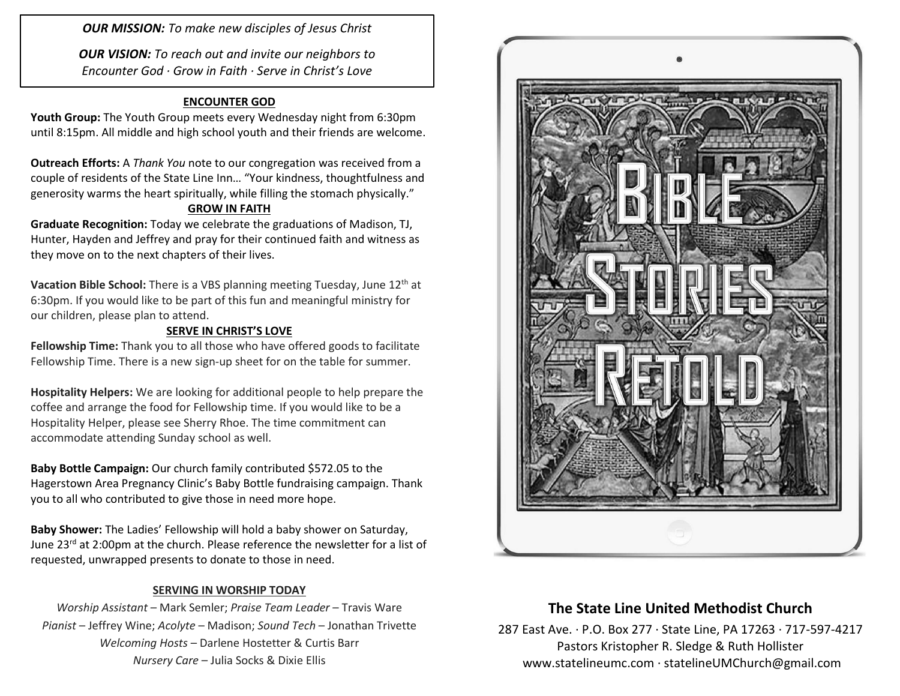*OUR MISSION: To make new disciples of Jesus Christ*

*OUR VISION: To reach out and invite our neighbors to Encounter God · Grow in Faith · Serve in Christ's Love*

#### **ENCOUNTER GOD**

**Youth Group:** The Youth Group meets every Wednesday night from 6:30pm until 8:15pm. All middle and high school youth and their friends are welcome.

**Outreach Efforts:** A *Thank You* note to our congregation was received from a couple of residents of the State Line Inn… "Your kindness, thoughtfulness and generosity warms the heart spiritually, while filling the stomach physically."

### **GROW IN FAITH**

**Graduate Recognition:** Today we celebrate the graduations of Madison, TJ, Hunter, Hayden and Jeffrey and pray for their continued faith and witness as they move on to the next chapters of their lives.

**Vacation Bible School:** There is a VBS planning meeting Tuesday, June 12<sup>th</sup> at 6:30pm. If you would like to be part of this fun and meaningful ministry for our children, please plan to attend.

### **SERVE IN CHRIST'S LOVE**

**Fellowship Time:** Thank you to all those who have offered goods to facilitate Fellowship Time. There is a new sign-up sheet for on the table for summer.

**Hospitality Helpers:** We are looking for additional people to help prepare the coffee and arrange the food for Fellowship time. If you would like to be a Hospitality Helper, please see Sherry Rhoe. The time commitment can accommodate attending Sunday school as well.

**Baby Bottle Campaign:** Our church family contributed \$572.05 to the Hagerstown Area Pregnancy Clinic's Baby Bottle fundraising campaign. Thank you to all who contributed to give those in need more hope.

**Baby Shower:** The Ladies' Fellowship will hold a baby shower on Saturday, June 23<sup>rd</sup> at 2:00pm at the church. Please reference the newsletter for a list of requested, unwrapped presents to donate to those in need.

### **SERVING IN WORSHIP TODAY**

*Worship Assistant* – Mark Semler; *Praise Team Leader* – Travis Ware *Pianist* – Jeffrey Wine; *Acolyte* – Madison; *Sound Tech* – Jonathan Trivette *Welcoming Hosts* – Darlene Hostetter & Curtis Barr *Nursery Care* – Julia Socks & Dixie Ellis



# **The State Line United Methodist Church**

287 East Ave. · P.O. Box 277 · State Line, PA 17263 · 717-597-4217 Pastors Kristopher R. Sledge & Ruth Hollister [www.statelineumc.com](http://www.statelineumc.com/) · statelineUMChurch@gmail.com